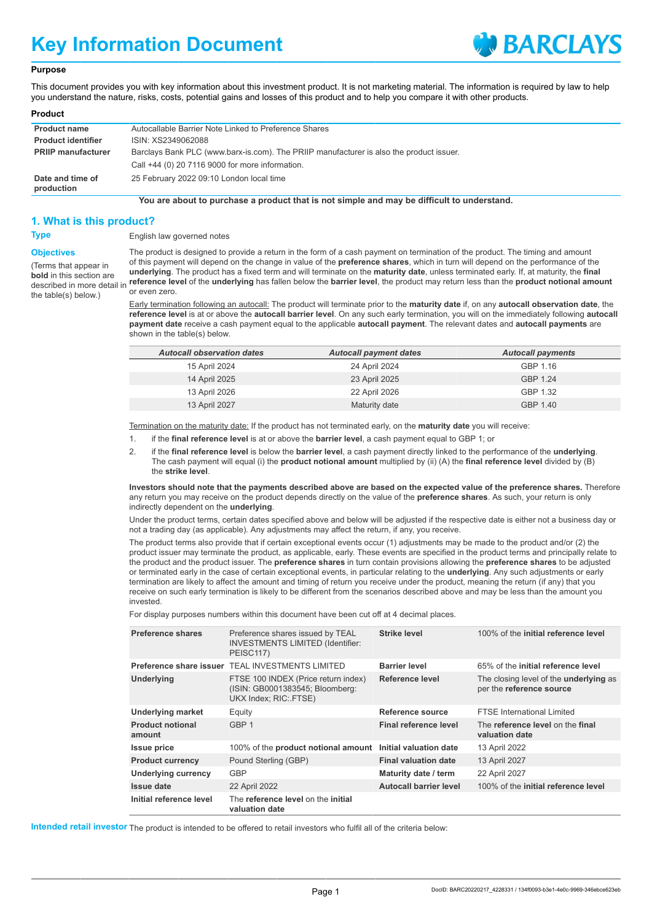# **Key Information Document**



#### **Purpose**

This document provides you with key information about this investment product. It is not marketing material. The information is required by law to help you understand the nature, risks, costs, potential gains and losses of this product and to help you compare it with other products.

#### **Product**

| <b>Product name</b>            | Autocallable Barrier Note Linked to Preference Shares                                   |
|--------------------------------|-----------------------------------------------------------------------------------------|
| <b>Product identifier</b>      | ISIN: XS2349062088                                                                      |
| <b>PRIIP manufacturer</b>      | Barclays Bank PLC (www.barx-is.com). The PRIIP manufacturer is also the product issuer. |
|                                | Call +44 (0) 20 7116 9000 for more information.                                         |
| Date and time of<br>production | 25 February 2022 09:10 London local time                                                |

**You are about to purchase a product that is not simple and may be difficult to understand.**

#### **1. What is this product?**

**Objectives** (Terms that appear in **bold** in this section are described in more detail in the table(s) below.)

### **Type** English law governed notes

The product is designed to provide a return in the form of a cash payment on termination of the product. The timing and amount of this payment will depend on the change in value of the **preference shares**, which in turn will depend on the performance of the **underlying**. The product has a fixed term and will terminate on the **maturity date**, unless terminated early. If, at maturity, the **final reference level** of the **underlying** has fallen below the **barrier level**, the product may return less than the **product notional amount** or even zero.

Early termination following an autocall: The product will terminate prior to the **maturity date** if, on any **autocall observation date**, the **reference level** is at or above the **autocall barrier level**. On any such early termination, you will on the immediately following **autocall payment date** receive a cash payment equal to the applicable **autocall payment**. The relevant dates and **autocall payments** are shown in the table(s) below.

| <b>Autocall observation dates</b> | <b>Autocall payment dates</b> | <b>Autocall payments</b> |
|-----------------------------------|-------------------------------|--------------------------|
| 15 April 2024                     | 24 April 2024                 | GBP 1.16                 |
| 14 April 2025                     | 23 April 2025                 | GBP 1.24                 |
| 13 April 2026                     | 22 April 2026                 | GBP 1.32                 |
| 13 April 2027                     | Maturity date                 | GBP 1.40                 |

Termination on the maturity date: If the product has not terminated early, on the **maturity date** you will receive:

- 1. if the **final reference level** is at or above the **barrier level**, a cash payment equal to GBP 1; or
- 2. if the **final reference level** is below the **barrier level**, a cash payment directly linked to the performance of the **underlying**. The cash payment will equal (i) the **product notional amount** multiplied by (ii) (A) the **final reference level** divided by (B) the **strike level**.

**Investors should note that the payments described above are based on the expected value of the preference shares.** Therefore any return you may receive on the product depends directly on the value of the **preference shares**. As such, your return is only indirectly dependent on the **underlying**.

Under the product terms, certain dates specified above and below will be adjusted if the respective date is either not a business day or not a trading day (as applicable). Any adjustments may affect the return, if any, you receive.

The product terms also provide that if certain exceptional events occur (1) adjustments may be made to the product and/or (2) the product issuer may terminate the product, as applicable, early. These events are specified in the product terms and principally relate to the product and the product issuer. The **preference shares** in turn contain provisions allowing the **preference shares** to be adjusted or terminated early in the case of certain exceptional events, in particular relating to the **underlying**. Any such adjustments or early termination are likely to affect the amount and timing of return you receive under the product, meaning the return (if any) that you receive on such early termination is likely to be different from the scenarios described above and may be less than the amount you invested.

For display purposes numbers within this document have been cut off at 4 decimal places.

| <b>Preference shares</b>          | Preference shares issued by TEAL<br><b>INVESTMENTS LIMITED (Identifier:</b><br>PEISC117)        | Strike level                  | 100% of the initial reference level                                       |
|-----------------------------------|-------------------------------------------------------------------------------------------------|-------------------------------|---------------------------------------------------------------------------|
| Preference share issuer           | <b>TEAL INVESTMENTS LIMITED</b>                                                                 | <b>Barrier level</b>          | 65% of the initial reference level                                        |
| <b>Underlying</b>                 | FTSE 100 INDEX (Price return index)<br>(ISIN: GB0001383545; Bloomberg:<br>UKX Index; RIC: FTSE) | Reference level               | The closing level of the <b>underlying</b> as<br>per the reference source |
| <b>Underlying market</b>          | Equity                                                                                          | Reference source              | <b>FTSE</b> International Limited                                         |
| <b>Product notional</b><br>amount | GBP <sub>1</sub>                                                                                | Final reference level         | The reference level on the final<br>valuation date                        |
| <b>Issue price</b>                | 100% of the product notional amount                                                             | Initial valuation date        | 13 April 2022                                                             |
| <b>Product currency</b>           | Pound Sterling (GBP)                                                                            | <b>Final valuation date</b>   | 13 April 2027                                                             |
| <b>Underlying currency</b>        | <b>GBP</b>                                                                                      | Maturity date / term          | 22 April 2027                                                             |
| Issue date                        | 22 April 2022                                                                                   | <b>Autocall barrier level</b> | 100% of the initial reference level                                       |
| Initial reference level           | The reference level on the initial<br>valuation date                                            |                               |                                                                           |

**Intended retail investor** The product is intended to be offered to retail investors who fulfil all of the criteria below: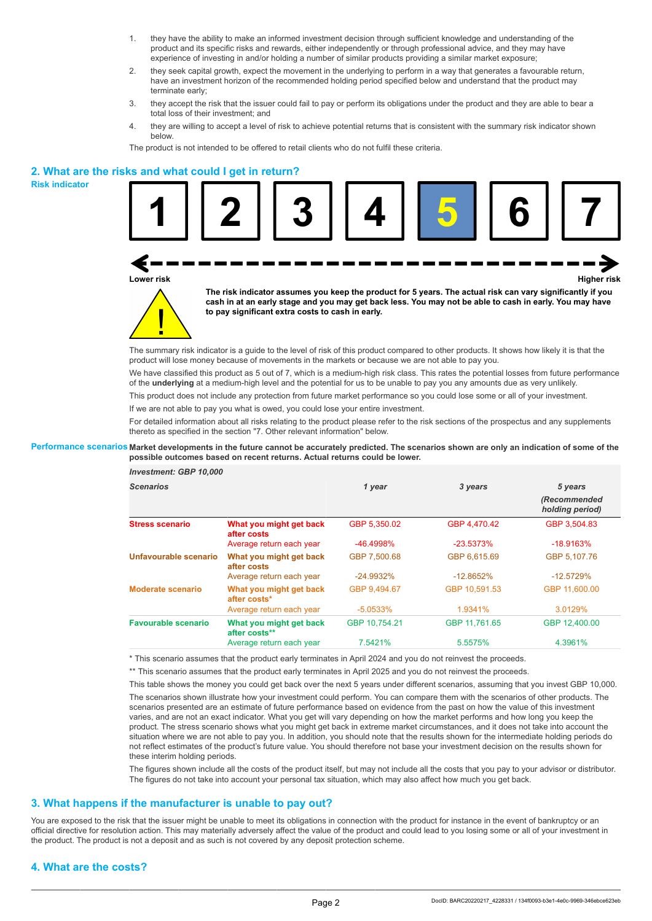- 1. they have the ability to make an informed investment decision through sufficient knowledge and understanding of the product and its specific risks and rewards, either independently or through professional advice, and they may have experience of investing in and/or holding a number of similar products providing a similar market exposure;
- 2. they seek capital growth, expect the movement in the underlying to perform in a way that generates a favourable return, have an investment horizon of the recommended holding period specified below and understand that the product may terminate early;
- 3. they accept the risk that the issuer could fail to pay or perform its obligations under the product and they are able to bear a total loss of their investment; and
- 4. they are willing to accept a level of risk to achieve potential returns that is consistent with the summary risk indicator shown below.

The product is not intended to be offered to retail clients who do not fulfil these criteria.

### **2. What are the risks and what could I get in return?**

**Risk indicator**





**cash in at an early stage and you may get back less. You may not be able to cash in early. You may have to pay significant extra costs to cash in early.**

The summary risk indicator is a guide to the level of risk of this product compared to other products. It shows how likely it is that the product will lose money because of movements in the markets or because we are not able to pay you.

We have classified this product as 5 out of 7, which is a medium-high risk class. This rates the potential losses from future performance of the **underlying** at a medium-high level and the potential for us to be unable to pay you any amounts due as very unlikely.

This product does not include any protection from future market performance so you could lose some or all of your investment.

If we are not able to pay you what is owed, you could lose your entire investment.

For detailed information about all risks relating to the product please refer to the risk sections of the prospectus and any supplements thereto as specified in the section "7. Other relevant information" below.

#### **Performance scenarios Market developments in the future cannot be accurately predicted. The scenarios shown are only an indication of some of the possible outcomes based on recent returns. Actual returns could be lower.**

| <b>Investment: GBP 10,000</b> |                                          |               |               |                                 |
|-------------------------------|------------------------------------------|---------------|---------------|---------------------------------|
| <b>Scenarios</b>              |                                          | 1 year        | 3 years       | 5 years                         |
|                               |                                          |               |               | (Recommended<br>holding period) |
| <b>Stress scenario</b>        | What you might get back<br>after costs   | GBP 5.350.02  | GBP 4.470.42  | GBP 3.504.83                    |
|                               | Average return each year                 | -46.4998%     | $-23.5373%$   | $-18.9163%$                     |
| Unfavourable scenario         | What you might get back<br>after costs   | GBP 7.500.68  | GBP 6.615.69  | GBP 5.107.76                    |
|                               | Average return each year                 | $-24.9932\%$  | $-12.8652%$   | $-12.5729%$                     |
| <b>Moderate scenario</b>      | What you might get back<br>after costs*  | GBP 9.494.67  | GBP 10.591.53 | GBP 11,600.00                   |
|                               | Average return each year                 | $-5.0533\%$   | 1.9341%       | 3.0129%                         |
| <b>Favourable scenario</b>    | What you might get back<br>after costs** | GBP 10.754.21 | GBP 11.761.65 | GBP 12,400.00                   |
|                               | Average return each year                 | 7.5421%       | 5.5575%       | 4.3961%                         |

\* This scenario assumes that the product early terminates in April 2024 and you do not reinvest the proceeds.

\*\* This scenario assumes that the product early terminates in April 2025 and you do not reinvest the proceeds.

This table shows the money you could get back over the next 5 years under different scenarios, assuming that you invest GBP 10,000.

The scenarios shown illustrate how your investment could perform. You can compare them with the scenarios of other products. The scenarios presented are an estimate of future performance based on evidence from the past on how the value of this investment varies, and are not an exact indicator. What you get will vary depending on how the market performs and how long you keep the product. The stress scenario shows what you might get back in extreme market circumstances, and it does not take into account the situation where we are not able to pay you. In addition, you should note that the results shown for the intermediate holding periods do not reflect estimates of the product's future value. You should therefore not base your investment decision on the results shown for these interim holding periods.

The figures shown include all the costs of the product itself, but may not include all the costs that you pay to your advisor or distributor. The figures do not take into account your personal tax situation, which may also affect how much you get back.

### **3. What happens if the manufacturer is unable to pay out?**

You are exposed to the risk that the issuer might be unable to meet its obligations in connection with the product for instance in the event of bankruptcy or an official directive for resolution action. This may materially adversely affect the value of the product and could lead to you losing some or all of your investment in the product. The product is not a deposit and as such is not covered by any deposit protection scheme.

# **4. What are the costs?**